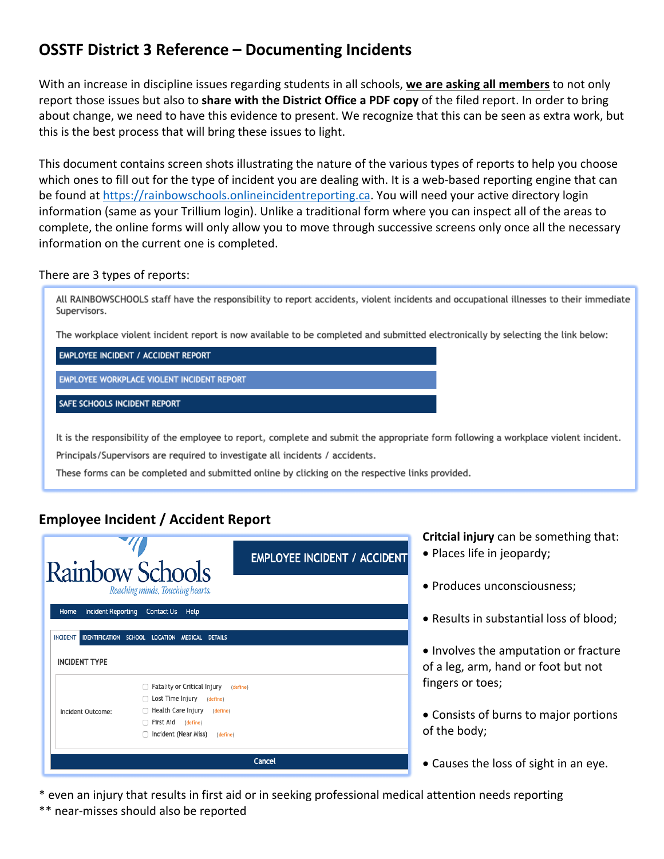# **OSSTF District 3 Reference – Documenting Incidents**

With an increase in discipline issues regarding students in all schools, **we are asking all members** to not only report those issues but also to **share with the District Office a PDF copy** of the filed report. In order to bring about change, we need to have this evidence to present. We recognize that this can be seen as extra work, but this is the best process that will bring these issues to light.

This document contains screen shots illustrating the nature of the various types of reports to help you choose which ones to fill out for the type of incident you are dealing with. It is a web-based reporting engine that can be found at https://rainbowschools.onlineincidentreporting.ca. You will need your active directory login information (same as your Trillium login). Unlike a traditional form where you can inspect all of the areas to complete, the online forms will only allow you to move through successive screens only once all the necessary information on the current one is completed.

### There are 3 types of reports:

All RAINBOWSCHOOLS staff have the responsibility to report accidents, violent incidents and occupational illnesses to their immediate Supervisors.

The workplace violent incident report is now available to be completed and submitted electronically by selecting the link below:

#### **EMPLOYEE INCIDENT / ACCIDENT REPORT**

EMPLOYEE WORKPLACE VIOLENT INCIDENT REPORT

#### SAFE SCHOOLS INCIDENT REPORT

It is the responsibility of the employee to report, complete and submit the appropriate form following a workplace violent incident.

Principals/Supervisors are required to investigate all incidents / accidents.

These forms can be completed and submitted online by clicking on the respective links provided.

# **Employee Incident / Accident Report**



**Critcial injury** can be something that: • Places life in jeopardy;

- Produces unconsciousness;
- Results in substantial loss of blood;

• Involves the amputation or fracture of a leg, arm, hand or foot but not fingers or toes;

- Consists of burns to major portions of the body;
- Causes the loss of sight in an eye.
- \* even an injury that results in first aid or in seeking professional medical attention needs reporting
- \*\* near-misses should also be reported